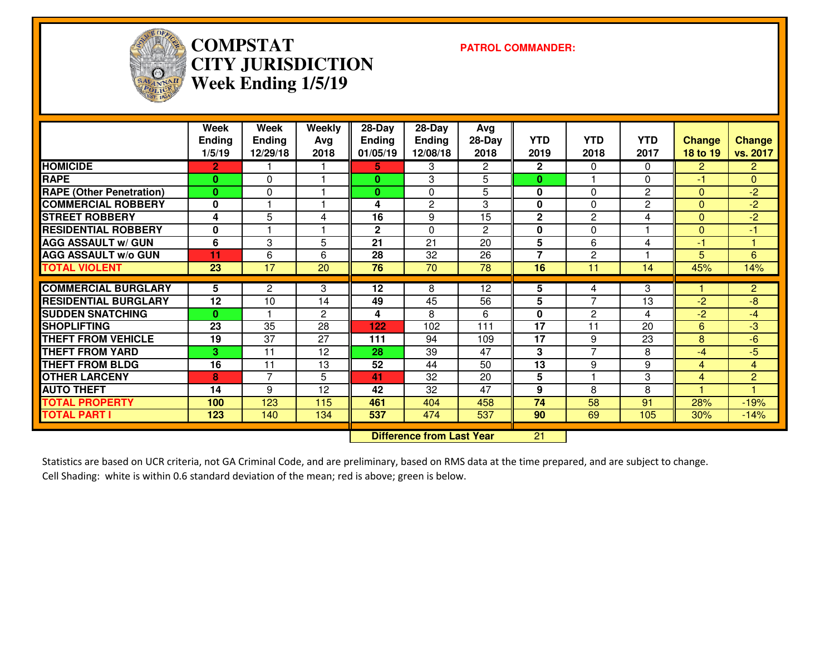

# **COMPSTAT PATROL COMMANDER: CITY JURISDICTIONWeek Ending 1/5/19**

|                                 | Week<br><b>Ending</b><br>1/5/19 | Week<br><b>Ending</b><br>12/29/18 | <b>Weekly</b><br>Avg<br>2018 | $28 - Day$<br><b>Ending</b><br>01/05/19 | $28 - Day$<br><b>Ending</b><br>12/08/18 | Avg<br>$28-Day$<br>2018 | <b>YTD</b><br>2019 | <b>YTD</b><br>2018       | <b>YTD</b><br>2017 | <b>Change</b><br>18 to 19 | Change<br>vs. 2017 |
|---------------------------------|---------------------------------|-----------------------------------|------------------------------|-----------------------------------------|-----------------------------------------|-------------------------|--------------------|--------------------------|--------------------|---------------------------|--------------------|
| <b>HOMICIDE</b>                 | $\overline{2}$                  |                                   |                              | 5.                                      | 3                                       | $\overline{2}$          | $\mathbf{2}$       | $\Omega$                 | $\Omega$           | $\overline{2}$            | $\overline{2}$     |
| <b>RAPE</b>                     | $\mathbf{0}$                    | $\Omega$                          |                              | $\mathbf{0}$                            | 3                                       | 5                       | $\bf{0}$           |                          | $\Omega$           | $-1$                      | $\overline{0}$     |
| <b>RAPE (Other Penetration)</b> | $\mathbf{0}$                    | $\Omega$                          |                              | $\bf{0}$                                | 0                                       | 5                       | 0                  | $\Omega$                 | $\overline{c}$     | $\Omega$                  | $-2$               |
| <b>COMMERCIAL ROBBERY</b>       | $\bf{0}$                        | -1                                |                              | 4                                       | $\overline{2}$                          | 3                       | 0                  | 0                        | $\overline{c}$     | $\Omega$                  | $-2$               |
| <b>STREET ROBBERY</b>           | 4                               | 5                                 | 4                            | 16                                      | 9                                       | 15                      | $\mathbf 2$        | $\overline{2}$           | 4                  | $\Omega$                  | $-2$               |
| <b>RESIDENTIAL ROBBERY</b>      | 0                               |                                   |                              | $\mathbf 2$                             | $\mathbf{0}$                            | 2                       | 0                  | 0                        |                    | $\mathbf{0}$              | -1                 |
| <b>AGG ASSAULT w/ GUN</b>       | 6                               | 3                                 | 5                            | 21                                      | 21                                      | 20                      | 5                  | 6                        | 4                  | $-1$                      |                    |
| <b>AGG ASSAULT W/o GUN</b>      | 11                              | 6                                 | 6                            | 28                                      | 32                                      | 26                      | $\overline{7}$     | $\overline{2}$           |                    | 5                         | 6                  |
| <b>TOTAL VIOLENT</b>            | 23                              | 17                                | 20                           | 76                                      | 70                                      | 78                      | 16                 | 11                       | 14                 | 45%                       | 14%                |
| <b>COMMERCIAL BURGLARY</b>      | 5                               | $\overline{c}$                    | 3                            | 12                                      | 8                                       | 12                      | 5                  | 4                        | 3                  |                           | $\overline{2}$     |
| <b>RESIDENTIAL BURGLARY</b>     | 12                              | 10                                | 14                           | 49                                      | 45                                      | 56                      | 5                  | 7                        | 13                 | $-2$                      | -8                 |
| <b>SUDDEN SNATCHING</b>         | $\mathbf{0}$                    |                                   | $\overline{2}$               | 4                                       | 8                                       | 6                       | $\bf{0}$           | $\mathbf{2}$             | 4                  | $-2$                      | -4                 |
| <b>SHOPLIFTING</b>              | 23                              | 35                                | 28                           | 122                                     | 102                                     | 111                     | 17                 | 11                       | 20                 | 6                         | -3                 |
| <b>THEFT FROM VEHICLE</b>       | 19                              | 37                                | 27                           | 111                                     | 94                                      | 109                     | 17                 | 9                        | 23                 | 8                         | -6                 |
| <b>THEFT FROM YARD</b>          | 3                               | 11                                | 12                           | 28                                      | 39                                      | 47                      | 3                  | $\overline{\phantom{0}}$ | 8                  | $-4$                      | $-5$               |
| <b>THEFT FROM BLDG</b>          | 16                              | 11                                | 13                           | 52                                      | 44                                      | 50                      | 13                 | 9                        | 9                  | 4                         | 4                  |
| <b>OTHER LARCENY</b>            | 8                               | $\overline{7}$                    | 5                            | 41                                      | 32                                      | 20                      | 5                  |                          | 3                  | 4                         | $\overline{2}$     |
| <b>AUTO THEFT</b>               | 14                              | 9                                 | 12                           | 42                                      | 32                                      | 47                      | 9                  | 8                        | 8                  | -1                        |                    |
| <b>TOTAL PROPERTY</b>           | 100                             | 123                               | 115                          | 461                                     | 404                                     | 458                     | 74                 | 58                       | 91                 | 28%                       | $-19%$             |
| <b>TOTAL PART I</b>             | 123                             | 140                               | 134                          | 537                                     | 474                                     | 537                     | 90                 | 69                       | 105                | 30%                       | $-14%$             |
|                                 |                                 | <b>Difference from Last Year</b>  |                              | 21                                      |                                         |                         |                    |                          |                    |                           |                    |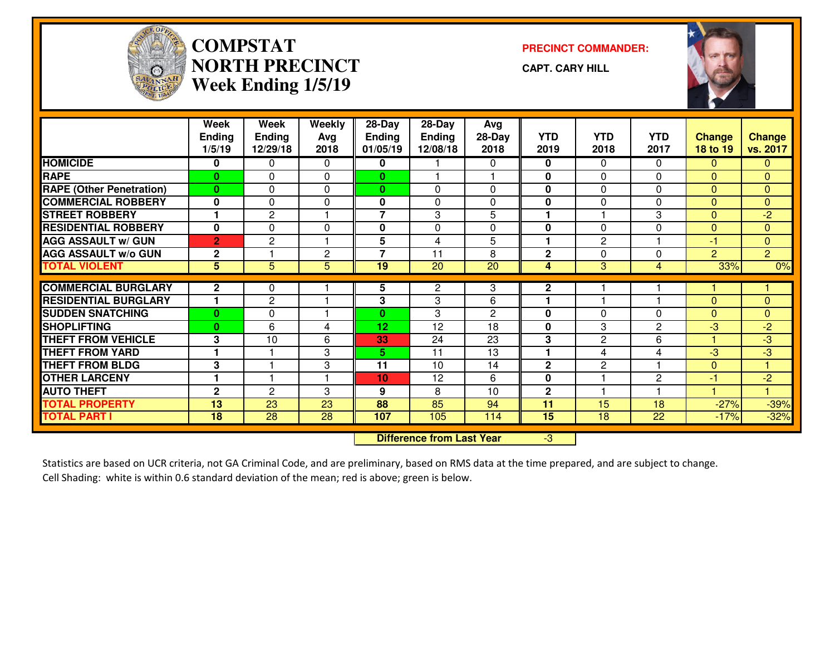

### **COMPSTATNORTH PRECINCTWeek Ending 1/5/19**

**PRECINCT COMMANDER:**

**CAPT. CARY HILL**



|                                 | Week<br><b>Ending</b><br>1/5/19 | Week<br><b>Ending</b><br>12/29/18 | <b>Weekly</b><br>Avg<br>2018 | 28-Day<br>Ending<br>01/05/19 | $28-Day$<br><b>Ending</b><br>12/08/18 | Avg<br>28-Day<br>2018 | <b>YTD</b><br>2019 | <b>YTD</b><br>2018 | <b>YTD</b><br>2017 | <b>Change</b><br>18 to 19 | <b>Change</b><br>vs. 2017 |
|---------------------------------|---------------------------------|-----------------------------------|------------------------------|------------------------------|---------------------------------------|-----------------------|--------------------|--------------------|--------------------|---------------------------|---------------------------|
| <b>HOMICIDE</b>                 | 0                               | 0                                 | $\Omega$                     | 0                            |                                       | 0                     | 0                  | 0                  | $\mathbf{0}$       | $\mathbf{0}$              | $\Omega$                  |
| <b>RAPE</b>                     | $\mathbf{0}$                    | $\Omega$                          | $\Omega$                     | $\mathbf{0}$                 |                                       |                       | 0                  | 0                  | $\Omega$           | $\Omega$                  | $\mathbf{0}$              |
| <b>RAPE (Other Penetration)</b> | $\bf{0}$                        | $\Omega$                          | $\Omega$                     | $\mathbf{0}$                 | $\Omega$                              | $\Omega$              | 0                  | 0                  | $\Omega$           | $\Omega$                  | $\mathbf{0}$              |
| <b>COMMERCIAL ROBBERY</b>       | $\bf{0}$                        | $\mathbf 0$                       | $\mathbf 0$                  | $\mathbf{0}$                 | $\Omega$                              | 0                     | $\mathbf 0$        | 0                  | $\Omega$           | $\Omega$                  | $\mathbf{0}$              |
| <b>STREET ROBBERY</b>           | и                               | $\overline{c}$                    |                              | $\overline{7}$               | 3                                     | 5                     | 1                  |                    | 3                  | $\Omega$                  | $-2$                      |
| <b>RESIDENTIAL ROBBERY</b>      | $\bf{0}$                        | 0                                 | 0                            | 0                            | $\Omega$                              | 0                     | $\mathbf{0}$       | 0                  | $\Omega$           | $\Omega$                  | $\mathbf{0}$              |
| <b>AGG ASSAULT w/ GUN</b>       | $\overline{2}$                  | $\overline{c}$                    | $\blacktriangleleft$         | 5                            | $\overline{4}$                        | 5                     | 1                  | $\overline{c}$     | и                  | $-1$                      | $\mathbf{0}$              |
| <b>AGG ASSAULT w/o GUN</b>      | $\mathbf{2}$                    |                                   | $\mathbf{2}$                 | $\overline{7}$               | 11                                    | 8                     | $\mathbf{2}$       | 0                  | $\Omega$           | $\overline{2}$            | $\overline{2}$            |
| <b>TOTAL VIOLENT</b>            | 5                               | 5                                 | 5                            | 19                           | 20                                    | 20                    | 4                  | 3                  | 4                  | 33%                       | 0%                        |
| <b>COMMERCIAL BURGLARY</b>      | $\mathbf{2}$                    | 0                                 |                              | 5                            | 2                                     | 3                     | $\mathbf{2}$       |                    |                    |                           |                           |
| <b>RESIDENTIAL BURGLARY</b>     | ٠                               | $\overline{c}$                    |                              | 3                            | 3                                     | 6                     | 1                  |                    |                    | $\Omega$                  | $\mathbf{0}$              |
| <b>SUDDEN SNATCHING</b>         | $\bf{0}$                        | 0                                 |                              | $\mathbf{0}$                 | 3                                     | 2                     | 0                  | 0                  | 0                  | $\Omega$                  | $\Omega$                  |
| <b>SHOPLIFTING</b>              | $\bf{0}$                        | 6                                 | 4                            | 12                           | 12                                    | 18                    | $\bf{0}$           | 3                  | $\overline{2}$     | -3                        | $-2$                      |
| <b>THEFT FROM VEHICLE</b>       | 3                               | 10                                | 6                            | 33                           | 24                                    | 23                    | 3                  | $\overline{c}$     | 6                  |                           | -3                        |
| <b>THEFT FROM YARD</b>          | ٠                               |                                   | 3                            | 5                            | 11                                    | 13                    | 1                  | 4                  | 4                  | -3                        | -3                        |
| <b>THEFT FROM BLDG</b>          | 3                               | $\overline{\mathbf{1}}$           | 3                            | 11                           | 10                                    | 14                    | $\mathbf{2}$       | $\mathbf{2}$       | 4                  | $\Omega$                  | 4                         |
| <b>OTHER LARCENY</b>            | 1                               | $\blacktriangleleft$              | -1                           | 10 <sub>1</sub>              | 12                                    | 6                     | 0                  |                    | $\mathbf{2}$       | $-1$                      | $-2$                      |
| <b>AUTO THEFT</b>               | $\mathbf{2}$                    | $\overline{2}$                    | 3                            | 9                            | 8                                     | 10                    | $\mathbf{2}$       |                    |                    |                           |                           |
| <b>TOTAL PROPERTY</b>           | 13                              | 23                                | 23                           | 88                           | 85                                    | 94                    | 11                 | 15                 | 18                 | $-27%$                    | $-39%$                    |
| <b>TOTAL PART I</b>             | 18                              | 28                                | 28                           | 107                          | 105                                   | 114                   | 15                 | 18                 | 22                 | $-17%$                    | $-32%$                    |
|                                 |                                 |                                   |                              |                              | <b>Difference from Last Year</b>      |                       | $-3$               |                    |                    |                           |                           |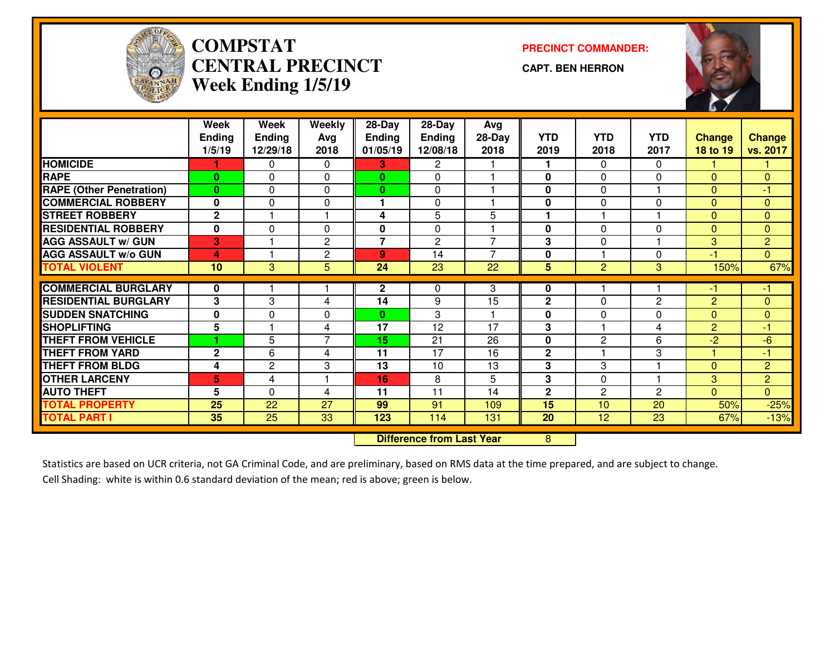

#### **COMPSTATCENTRAL PRECINCTWeek Ending 1/5/19**

**PRECINCT COMMANDER:**

**CAPT. BEN HERRON**



|                                       | Week<br><b>Ending</b> | Week<br><b>Ending</b> | <b>Weekly</b><br>Avg | 28-Day<br><b>Ending</b> | 28-Day<br>Ending | Avg<br>28-Day   | <b>YTD</b>   | <b>YTD</b>     | <b>YTD</b>     | <b>Change</b>  | <b>Change</b>  |
|---------------------------------------|-----------------------|-----------------------|----------------------|-------------------------|------------------|-----------------|--------------|----------------|----------------|----------------|----------------|
|                                       | 1/5/19                | 12/29/18              | 2018                 | 01/05/19                | 12/08/18         | 2018            | 2019         | 2018           | 2017           | 18 to 19       | vs. 2017       |
| <b>HOMICIDE</b>                       |                       | 0                     | $\Omega$             | 3.                      | $\mathbf{2}$     |                 |              | 0              | $\Omega$       |                |                |
| <b>RAPE</b>                           | $\bf{0}$              | $\Omega$              | $\Omega$             | $\mathbf{0}$            | $\mathbf{0}$     |                 | $\bf{0}$     | 0              | $\Omega$       | $\Omega$       | $\mathbf{0}$   |
| <b>RAPE (Other Penetration)</b>       | $\bf{0}$              | 0                     | $\Omega$             | $\mathbf{0}$            | $\mathbf{0}$     |                 | $\bf{0}$     | 0              |                | $\Omega$       | -1             |
| <b>COMMERCIAL ROBBERY</b>             | $\mathbf 0$           | $\Omega$              | $\Omega$             | 1.                      | $\Omega$         |                 | $\bf{0}$     | 0              | $\Omega$       | $\Omega$       | $\mathbf{0}$   |
| <b>STREET ROBBERY</b>                 | $\overline{2}$        |                       | -1                   | 4                       | 5                | 5               | 1            |                |                | $\Omega$       | $\Omega$       |
| <b>RESIDENTIAL ROBBERY</b>            | $\mathbf 0$           | $\Omega$              | 0                    | 0                       | $\mathbf 0$      |                 | $\mathbf 0$  | 0              | $\Omega$       | $\Omega$       | $\mathbf{0}$   |
| <b>AGG ASSAULT w/ GUN</b>             | 3                     |                       | $\mathbf{2}$         | $\overline{7}$          | 2                | $\overline{7}$  | 3            | 0              |                | 3              | $\overline{2}$ |
| <b>AGG ASSAULT w/o GUN</b>            | 4                     |                       | $\overline{c}$       | 9                       | 14               | $\overline{7}$  | 0            |                | $\Omega$       | $-1$           | $\Omega$       |
| <b>TOTAL VIOLENT</b>                  | 10                    | 3                     | 5                    | 24                      | $\overline{23}$  | 22              | 5            | $\overline{c}$ | 3              | 150%           | 67%            |
|                                       |                       |                       |                      |                         |                  |                 |              |                |                |                |                |
| <b>COMMERCIAL BURGLARY</b>            | 0                     |                       |                      | $\mathbf{2}$            | 0                | 3               | 0            |                |                | -1             | -1             |
| <b>RESIDENTIAL BURGLARY</b>           | 3                     | 3                     | 4                    | 14                      | 9                | 15              | $\mathbf{2}$ | 0              | $\overline{c}$ | 2              | $\Omega$       |
| <b>SUDDEN SNATCHING</b>               | $\mathbf 0$           | 0                     | 0                    | 0                       | 3                |                 | $\mathbf 0$  | 0              | $\Omega$       | $\Omega$       | $\Omega$       |
| <b>SHOPLIFTING</b>                    | 5                     |                       | 4                    | 17                      | 12               | 17              | 3            |                | 4              | $\overline{2}$ | -1             |
| <b>THEFT FROM VEHICLE</b>             |                       | 5                     | $\overline{7}$       | 15                      | $\overline{21}$  | $\overline{26}$ | $\bf{0}$     | 2              | 6              | $\overline{2}$ | $-6$           |
| <b>THEFT FROM YARD</b>                | $\mathbf 2$           | 6                     | 4                    | 11                      | 17               | 16              | $\mathbf 2$  |                | 3              |                | $-1$           |
| <b>THEFT FROM BLDG</b>                | 4                     | $\overline{c}$        | 3                    | 13                      | 10               | 13              | 3            | 3              |                | $\Omega$       | $\overline{2}$ |
| <b>OTHER LARCENY</b>                  | 5                     | 4                     |                      | 16                      | 8                | 5               | 3            | 0              |                | 3              | $\overline{2}$ |
| <b>AUTO THEFT</b>                     | 5                     | $\Omega$              | 4                    | 11                      | 11               | 14              | $\mathbf{2}$ | $\overline{2}$ | $\overline{2}$ | $\Omega$       | $\mathbf{0}$   |
| <b>TOTAL PROPERTY</b>                 | 25                    | 22                    | 27                   | 99                      | 91               | 109             | 15           | 10             | 20             | 50%            | $-25%$         |
| <b>TOTAL PART I</b>                   | 35                    | 25                    | 33                   | 123                     | 114              | 131             | 20           | 12             | 23             | 67%            | $-13%$         |
| <b>Difference from Last Year</b><br>8 |                       |                       |                      |                         |                  |                 |              |                |                |                |                |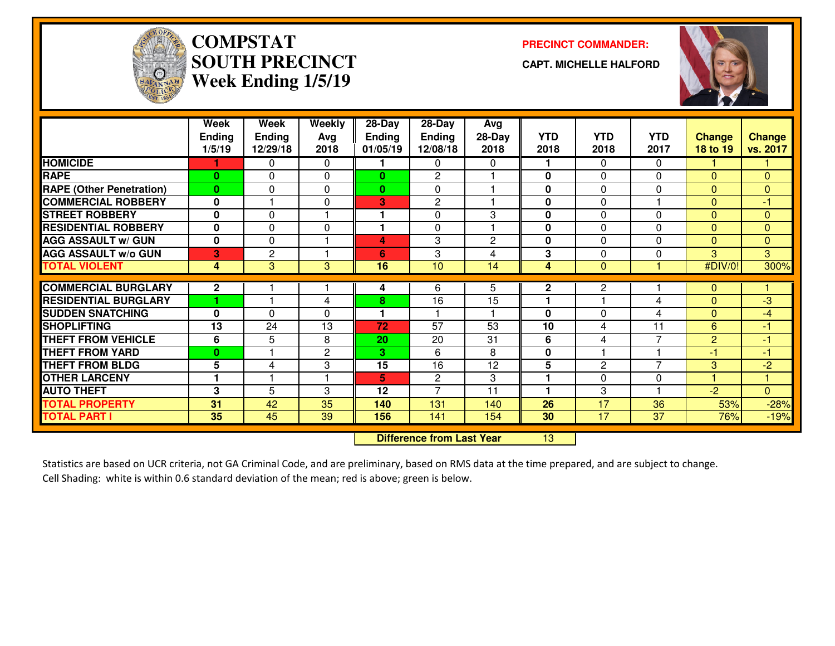

### **COMPSTATSOUTH PRECINCTWeek Ending 1/5/19**

**PRECINCT COMMANDER:**

**CAPT. MICHELLE HALFORD**



|                                 | Week<br><b>Ending</b><br>1/5/19 | Week<br><b>Ending</b><br>12/29/18 | Weekly<br>Avg<br>2018 | 28-Day<br><b>Ending</b><br>01/05/19 | 28-Day<br><b>Ending</b><br>12/08/18 | Avg<br>$28-Day$<br>2018 | <b>YTD</b><br>2018 | <b>YTD</b><br>2018 | <b>YTD</b><br>2017 | <b>Change</b><br>18 to 19 | <b>Change</b><br>vs. 2017 |
|---------------------------------|---------------------------------|-----------------------------------|-----------------------|-------------------------------------|-------------------------------------|-------------------------|--------------------|--------------------|--------------------|---------------------------|---------------------------|
| <b>HOMICIDE</b>                 |                                 | 0                                 | $\Omega$              | 1.                                  | 0                                   | 0                       |                    | 0                  | $\Omega$           |                           |                           |
| <b>RAPE</b>                     | $\mathbf{0}$                    | 0                                 | $\Omega$              | $\bf{0}$                            | 2                                   |                         | 0                  | 0                  | $\Omega$           | $\Omega$                  | $\Omega$                  |
| <b>RAPE</b> (Other Penetration) | $\mathbf{0}$                    | 0                                 | $\Omega$              | $\mathbf{0}$                        | $\mathbf{0}$                        |                         | $\bf{0}$           | 0                  | $\Omega$           | $\Omega$                  | $\Omega$                  |
| <b>COMMERCIAL ROBBERY</b>       | 0                               |                                   | $\Omega$              | 3                                   | 2                                   |                         | $\bf{0}$           | 0                  |                    | $\Omega$                  | $-1$                      |
| <b>STREET ROBBERY</b>           | $\bf{0}$                        | 0                                 |                       | 1                                   | $\mathbf{0}$                        | 3                       | $\bf{0}$           | 0                  | $\Omega$           | $\Omega$                  | $\Omega$                  |
| <b>RESIDENTIAL ROBBERY</b>      | 0                               | 0                                 | $\mathbf{0}$          | 1                                   | $\mathbf{0}$                        |                         | $\bf{0}$           | 0                  | $\Omega$           | $\Omega$                  | $\mathbf{0}$              |
| <b>AGG ASSAULT W/ GUN</b>       | $\mathbf 0$                     | 0                                 | 1                     | 4                                   | 3                                   | $\overline{c}$          | $\bf{0}$           | 0                  | $\Omega$           | $\Omega$                  | $\Omega$                  |
| <b>AGG ASSAULT w/o GUN</b>      | 3                               | $\overline{c}$                    | 1                     | 6                                   | 3                                   | 4                       | 3                  | 0                  | $\Omega$           | 3                         | 3                         |
| <b>TOTAL VIOLENT</b>            | 4                               | 3                                 | 3                     | 16                                  | 10                                  | 14                      | 4                  | $\Omega$           |                    | #DIV/0!                   | 300%                      |
| <b>COMMERCIAL BURGLARY</b>      | $\mathbf{2}$                    |                                   |                       | 4                                   | 6                                   | 5                       | $\mathbf{2}$       | 2                  |                    | $\mathbf{0}$              |                           |
| <b>RESIDENTIAL BURGLARY</b>     |                                 |                                   | 4                     | 8                                   | 16                                  | 15                      | 1                  |                    | 4                  | $\Omega$                  | -3                        |
| <b>SUDDEN SNATCHING</b>         | 0                               | $\Omega$                          | $\Omega$              | 1                                   |                                     |                         | $\bf{0}$           | 0                  | 4                  | $\Omega$                  | $-4$                      |
| <b>SHOPLIFTING</b>              | 13                              | 24                                | 13                    | 72                                  | $\overline{57}$                     | 53                      | 10                 | 4                  | 11                 | 6                         | -1                        |
| <b>THEFT FROM VEHICLE</b>       | 6                               | 5                                 | 8                     | 20                                  | 20                                  | 31                      | 6                  | 4                  | $\overline{7}$     | 2                         | -1                        |
| <b>THEFT FROM YARD</b>          | $\bf{0}$                        |                                   | $\overline{c}$        | 3                                   | 6                                   | 8                       | $\mathbf 0$        |                    |                    | $-1$                      | -1                        |
| <b>THEFT FROM BLDG</b>          | 5                               | 4                                 | 3                     | 15                                  | 16                                  | 12                      | 5                  | $\overline{c}$     | $\overline{7}$     | 3                         | $-2$                      |
| <b>OTHER LARCENY</b>            | 1                               |                                   | 1                     | 5                                   | 2                                   | 3                       | 1                  | 0                  | 0                  |                           | и                         |
| <b>AUTO THEFT</b>               | 3                               | 5                                 | 3                     | 12                                  | $\overline{7}$                      | 11                      | 1                  | 3                  |                    | $-2$                      | $\mathbf{0}$              |
| <b>TOTAL PROPERTY</b>           | 31                              | 42                                | 35                    | 140                                 | 131                                 | 140                     | 26                 | 17                 | 36                 | 53%                       | $-28%$                    |
| <b>TOTAL PART I</b>             | 35                              | 45                                | 39                    | 156                                 | 141                                 | 154                     | 30                 | 17                 | 37                 | 76%                       | $-19%$                    |
|                                 |                                 | <b>Difference from Last Year</b>  |                       | 13                                  |                                     |                         |                    |                    |                    |                           |                           |